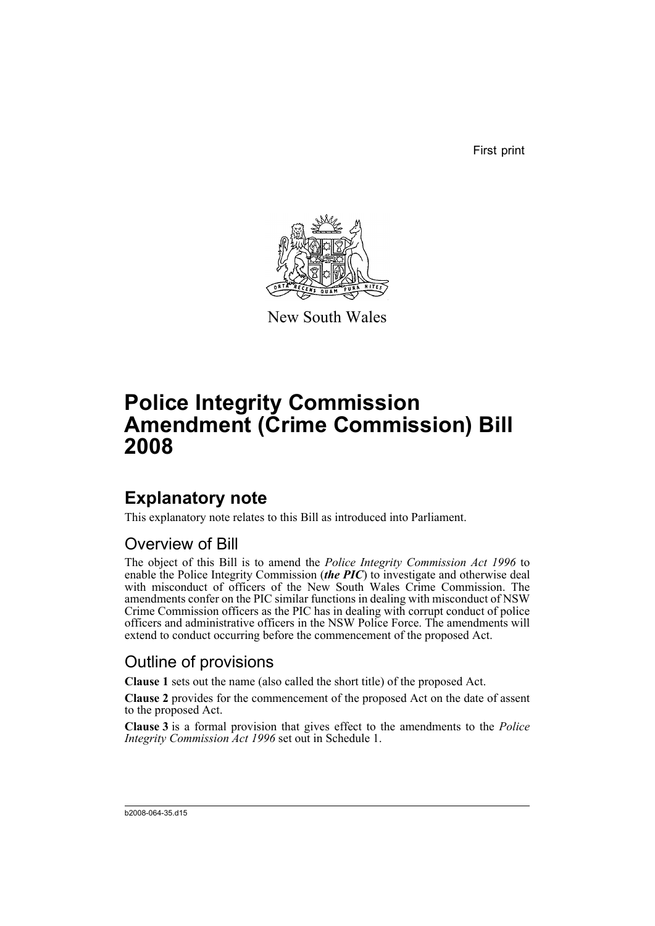First print



New South Wales

# **Police Integrity Commission Amendment (Crime Commission) Bill 2008**

## **Explanatory note**

This explanatory note relates to this Bill as introduced into Parliament.

## Overview of Bill

The object of this Bill is to amend the *Police Integrity Commission Act 1996* to enable the Police Integrity Commission (*the PIC*) to investigate and otherwise deal with misconduct of officers of the New South Wales Crime Commission. The amendments confer on the PIC similar functions in dealing with misconduct of NSW Crime Commission officers as the PIC has in dealing with corrupt conduct of police officers and administrative officers in the NSW Police Force. The amendments will extend to conduct occurring before the commencement of the proposed Act.

## Outline of provisions

**Clause 1** sets out the name (also called the short title) of the proposed Act.

**Clause 2** provides for the commencement of the proposed Act on the date of assent to the proposed Act.

**Clause 3** is a formal provision that gives effect to the amendments to the *Police Integrity Commission Act 1996* set out in Schedule 1.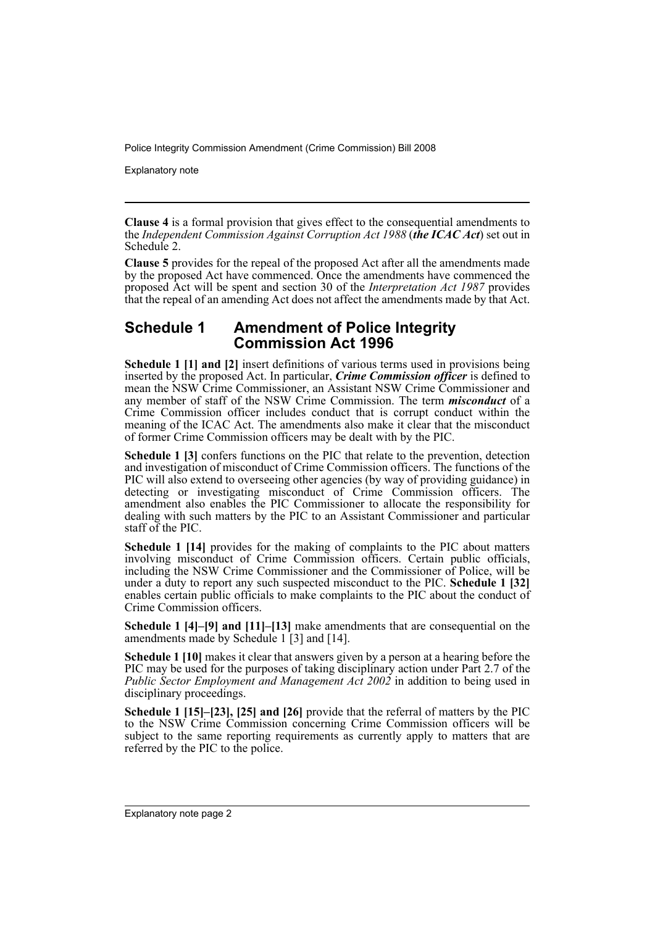Explanatory note

**Clause 4** is a formal provision that gives effect to the consequential amendments to the *Independent Commission Against Corruption Act 1988* (*the ICAC Act*) set out in Schedule 2.

**Clause 5** provides for the repeal of the proposed Act after all the amendments made by the proposed Act have commenced. Once the amendments have commenced the proposed Act will be spent and section 30 of the *Interpretation Act 1987* provides that the repeal of an amending Act does not affect the amendments made by that Act.

### **Schedule 1 Amendment of Police Integrity Commission Act 1996**

**Schedule 1 [1] and [2]** insert definitions of various terms used in provisions being inserted by the proposed Act. In particular, *Crime Commission officer* is defined to mean the NSW Crime Commissioner, an Assistant NSW Crime Commissioner and any member of staff of the NSW Crime Commission. The term *misconduct* of a Crime Commission officer includes conduct that is corrupt conduct within the meaning of the ICAC Act. The amendments also make it clear that the misconduct of former Crime Commission officers may be dealt with by the PIC.

**Schedule 1 [3]** confers functions on the PIC that relate to the prevention, detection and investigation of misconduct of Crime Commission officers. The functions of the PIC will also extend to overseeing other agencies (by way of providing guidance) in detecting or investigating misconduct of Crime Commission officers. The amendment also enables the PIC Commissioner to allocate the responsibility for dealing with such matters by the PIC to an Assistant Commissioner and particular staff of the PIC.

**Schedule 1 [14]** provides for the making of complaints to the PIC about matters involving misconduct of Crime Commission officers. Certain public officials, including the NSW Crime Commissioner and the Commissioner of Police, will be under a duty to report any such suspected misconduct to the PIC. **Schedule 1 [32]** enables certain public officials to make complaints to the PIC about the conduct of Crime Commission officers.

**Schedule 1 [4]–[9] and [11]–[13]** make amendments that are consequential on the amendments made by Schedule 1 [3] and [14].

**Schedule 1 [10]** makes it clear that answers given by a person at a hearing before the PIC may be used for the purposes of taking disciplinary action under Part 2.7 of the *Public Sector Employment and Management Act 2002* in addition to being used in disciplinary proceedings.

**Schedule 1 [15]–[23], [25] and [26]** provide that the referral of matters by the PIC to the NSW Crime Commission concerning Crime Commission officers will be subject to the same reporting requirements as currently apply to matters that are referred by the PIC to the police.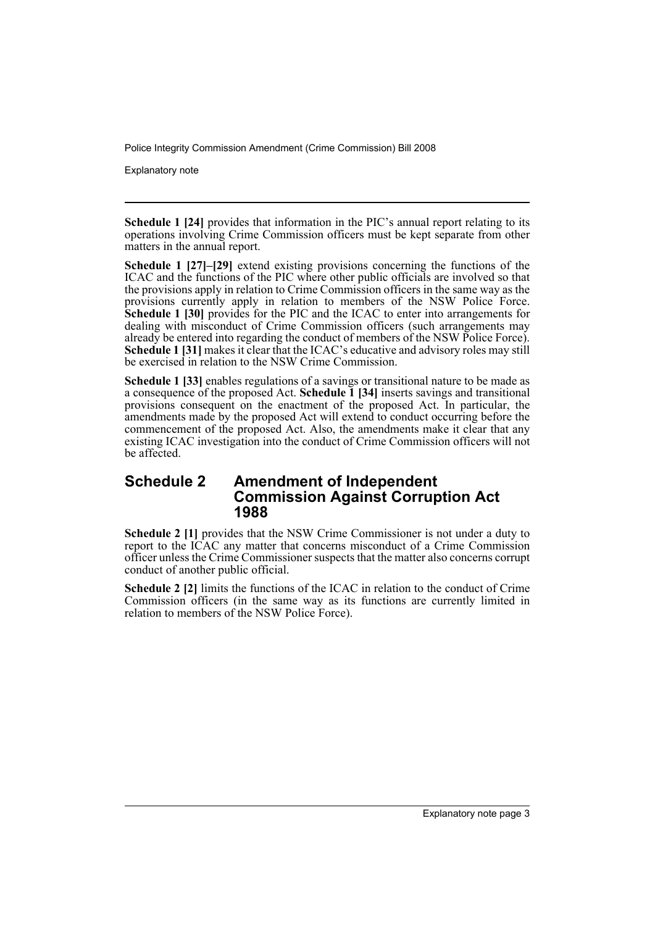Explanatory note

**Schedule 1 [24]** provides that information in the PIC's annual report relating to its operations involving Crime Commission officers must be kept separate from other matters in the annual report.

**Schedule 1 [27]–[29]** extend existing provisions concerning the functions of the ICAC and the functions of the PIC where other public officials are involved so that the provisions apply in relation to Crime Commission officers in the same way as the provisions currently apply in relation to members of the NSW Police Force. **Schedule 1 [30]** provides for the PIC and the ICAC to enter into arrangements for dealing with misconduct of Crime Commission officers (such arrangements may already be entered into regarding the conduct of members of the NSW Police Force). Schedule 1 [31] makes it clear that the ICAC's educative and advisory roles may still be exercised in relation to the NSW Crime Commission.

**Schedule 1 [33]** enables regulations of a savings or transitional nature to be made as a consequence of the proposed Act. **Schedule 1 [34]** inserts savings and transitional provisions consequent on the enactment of the proposed Act. In particular, the amendments made by the proposed Act will extend to conduct occurring before the commencement of the proposed Act. Also, the amendments make it clear that any existing ICAC investigation into the conduct of Crime Commission officers will not be affected.

### **Schedule 2 Amendment of Independent Commission Against Corruption Act 1988**

**Schedule 2 [1]** provides that the NSW Crime Commissioner is not under a duty to report to the ICAC any matter that concerns misconduct of a Crime Commission officer unless the Crime Commissioner suspects that the matter also concerns corrupt conduct of another public official.

**Schedule 2 [2]** limits the functions of the ICAC in relation to the conduct of Crime Commission officers (in the same way as its functions are currently limited in relation to members of the NSW Police Force).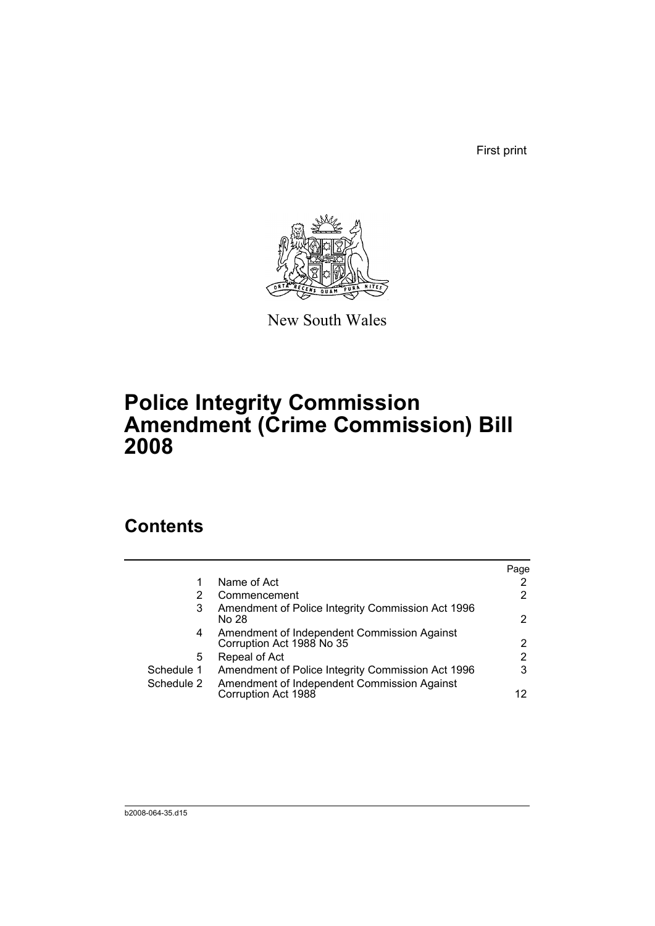First print



New South Wales

## **Police Integrity Commission Amendment (Crime Commission) Bill 2008**

## **Contents**

|            |                                                                          | Page |
|------------|--------------------------------------------------------------------------|------|
|            | Name of Act                                                              |      |
| 2          | Commencement                                                             | 2    |
| 3          | Amendment of Police Integrity Commission Act 1996<br>No 28               | 2    |
| 4          | Amendment of Independent Commission Against<br>Corruption Act 1988 No 35 | 2    |
| 5          | Repeal of Act                                                            | 2    |
| Schedule 1 | Amendment of Police Integrity Commission Act 1996                        | 3    |
| Schedule 2 | Amendment of Independent Commission Against<br>Corruption Act 1988       | 12   |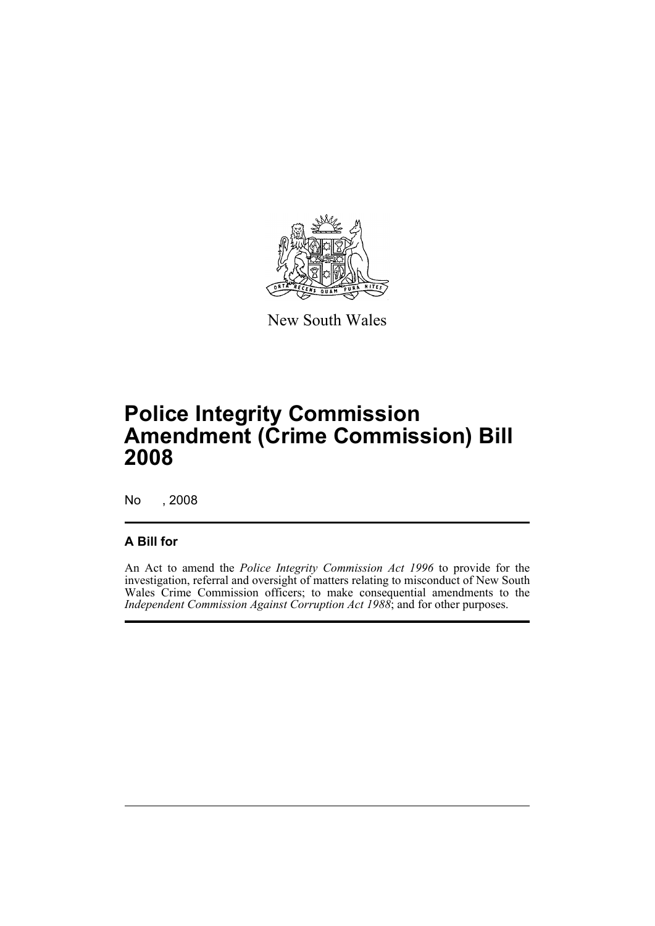

New South Wales

## **Police Integrity Commission Amendment (Crime Commission) Bill 2008**

No , 2008

### **A Bill for**

An Act to amend the *Police Integrity Commission Act 1996* to provide for the investigation, referral and oversight of matters relating to misconduct of New South Wales Crime Commission officers; to make consequential amendments to the *Independent Commission Against Corruption Act 1988*; and for other purposes.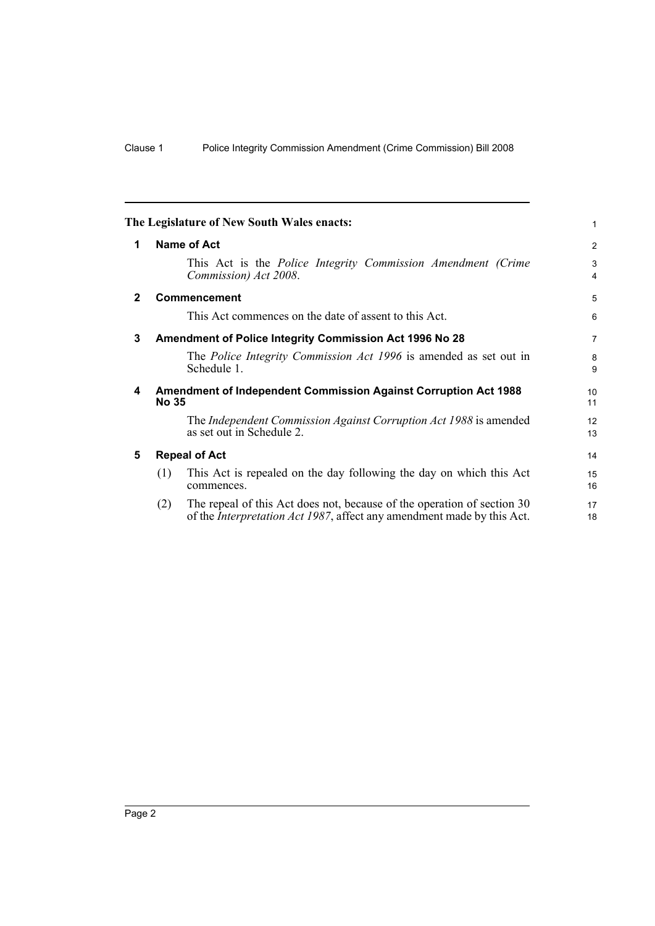<span id="page-7-4"></span><span id="page-7-3"></span><span id="page-7-2"></span><span id="page-7-1"></span><span id="page-7-0"></span>

|              |                      | The Legislature of New South Wales enacts:                                                                                                                | 1                     |
|--------------|----------------------|-----------------------------------------------------------------------------------------------------------------------------------------------------------|-----------------------|
| 1            |                      | Name of Act                                                                                                                                               | 2                     |
|              |                      | This Act is the <i>Police Integrity Commission Amendment (Crime</i><br>Commission) Act 2008.                                                              | 3<br>4                |
| $\mathbf{2}$ |                      | <b>Commencement</b>                                                                                                                                       | 5                     |
|              |                      | This Act commences on the date of assent to this Act.                                                                                                     | 6                     |
| 3            |                      | Amendment of Police Integrity Commission Act 1996 No 28                                                                                                   | $\overline{7}$        |
|              |                      | The Police Integrity Commission Act 1996 is amended as set out in<br>Schedule 1.                                                                          | 8<br>9                |
| 4            | <b>No 35</b>         | <b>Amendment of Independent Commission Against Corruption Act 1988</b>                                                                                    | 10 <sup>1</sup><br>11 |
|              |                      | The Independent Commission Against Corruption Act 1988 is amended<br>as set out in Schedule 2.                                                            | 12<br>13              |
| 5            | <b>Repeal of Act</b> |                                                                                                                                                           | 14                    |
|              | (1)                  | This Act is repealed on the day following the day on which this Act<br>commences.                                                                         | 15<br>16              |
|              | (2)                  | The repeal of this Act does not, because of the operation of section 30<br>of the <i>Interpretation Act 1987</i> , affect any amendment made by this Act. | 17<br>18              |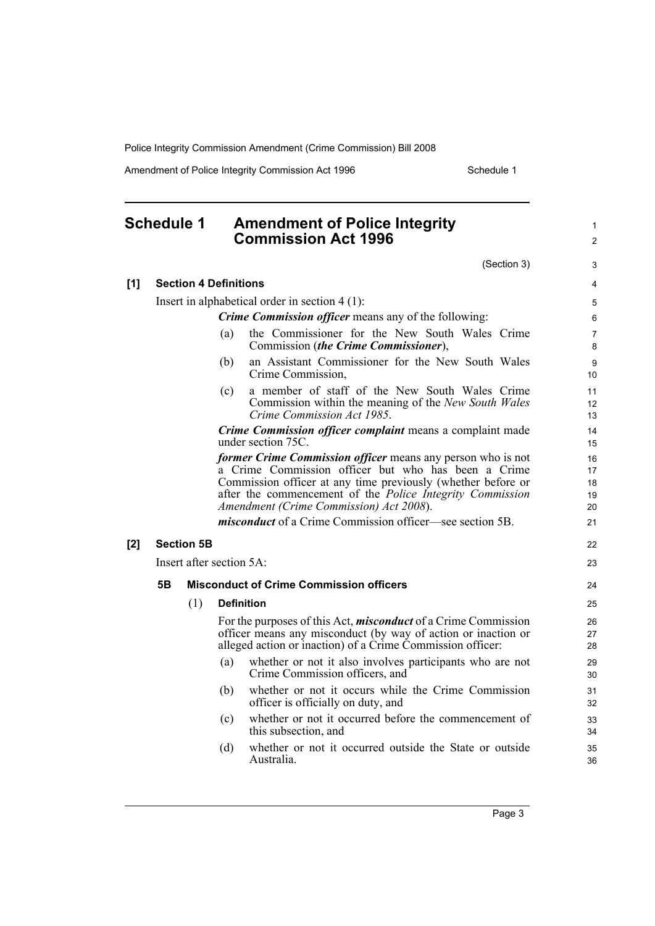Amendment of Police Integrity Commission Act 1996 Schedule 1

### <span id="page-8-0"></span>**Schedule 1 Amendment of Police Integrity Commission Act 1996**

(Section 3)

1 2

3

| [1] |           | <b>Section 4 Definitions</b> |                          |                                                                                                                                                                                                                                                                                                   | 4                          |
|-----|-----------|------------------------------|--------------------------|---------------------------------------------------------------------------------------------------------------------------------------------------------------------------------------------------------------------------------------------------------------------------------------------------|----------------------------|
|     |           |                              |                          | Insert in alphabetical order in section $4(1)$ :                                                                                                                                                                                                                                                  | 5                          |
|     |           |                              |                          | <b>Crime Commission officer means any of the following:</b>                                                                                                                                                                                                                                       | 6                          |
|     |           |                              | (a)                      | the Commissioner for the New South Wales Crime<br>Commission (the Crime Commissioner),                                                                                                                                                                                                            | $\overline{7}$<br>8        |
|     |           |                              | (b)                      | an Assistant Commissioner for the New South Wales<br>Crime Commission,                                                                                                                                                                                                                            | 9<br>10                    |
|     |           |                              | (c)                      | a member of staff of the New South Wales Crime<br>Commission within the meaning of the New South Wales<br>Crime Commission Act 1985.                                                                                                                                                              | 11<br>12<br>13             |
|     |           |                              |                          | Crime Commission officer complaint means a complaint made<br>under section 75C.                                                                                                                                                                                                                   | 14<br>15                   |
|     |           |                              |                          | former Crime Commission officer means any person who is not<br>a Crime Commission officer but who has been a Crime<br>Commission officer at any time previously (whether before or<br>after the commencement of the <i>Police Integrity Commission</i><br>Amendment (Crime Commission) Act 2008). | 16<br>17<br>18<br>19<br>20 |
|     |           |                              |                          | <i>misconduct</i> of a Crime Commission officer—see section 5B.                                                                                                                                                                                                                                   | 21                         |
| [2] |           | <b>Section 5B</b>            |                          |                                                                                                                                                                                                                                                                                                   | 22                         |
|     |           |                              | Insert after section 5A: |                                                                                                                                                                                                                                                                                                   |                            |
|     | <b>5B</b> |                              |                          | <b>Misconduct of Crime Commission officers</b>                                                                                                                                                                                                                                                    | 24                         |
|     |           | (1)                          |                          | <b>Definition</b>                                                                                                                                                                                                                                                                                 | 25                         |
|     |           |                              |                          | For the purposes of this Act, <i>misconduct</i> of a Crime Commission<br>officer means any misconduct (by way of action or inaction or<br>alleged action or inaction) of a Crime Commission officer:                                                                                              | 26<br>27<br>28             |
|     |           |                              | (a)                      | whether or not it also involves participants who are not<br>Crime Commission officers, and                                                                                                                                                                                                        | 29<br>30                   |
|     |           |                              | (b)                      | whether or not it occurs while the Crime Commission<br>officer is officially on duty, and                                                                                                                                                                                                         | 31<br>32                   |
|     |           |                              | (c)                      | whether or not it occurred before the commencement of<br>this subsection, and                                                                                                                                                                                                                     | 33<br>34                   |
|     |           |                              | (d)                      | whether or not it occurred outside the State or outside<br>Australia.                                                                                                                                                                                                                             | 35<br>36                   |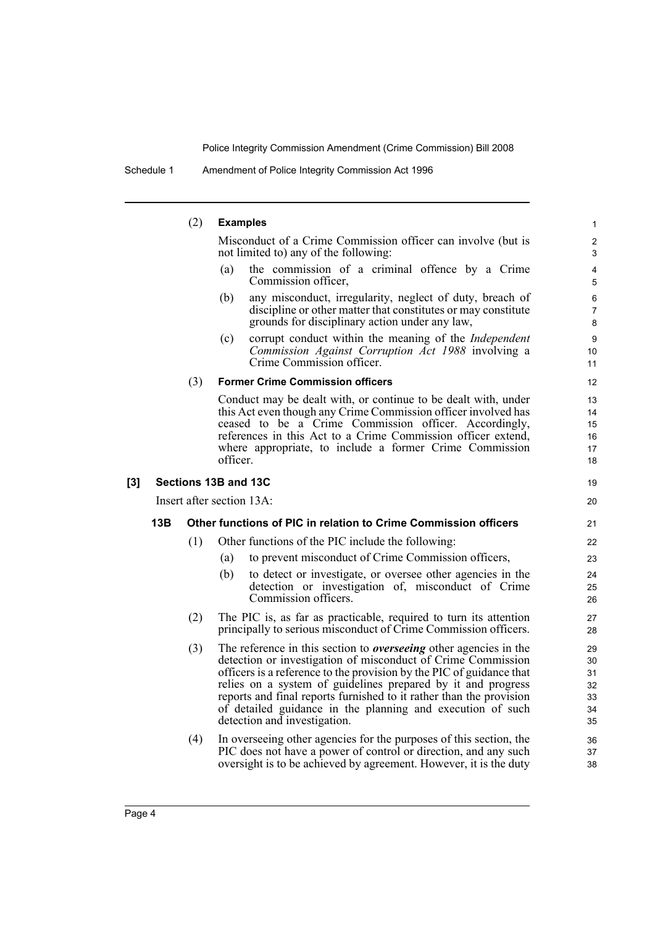## (2) **Examples**

Misconduct of a Crime Commission officer can involve (but is not limited to) any of the following:

19 20

- (a) the commission of a criminal offence by a Crime Commission officer,
- (b) any misconduct, irregularity, neglect of duty, breach of discipline or other matter that constitutes or may constitute grounds for disciplinary action under any law,
- (c) corrupt conduct within the meaning of the *Independent Commission Against Corruption Act 1988* involving a Crime Commission officer.

#### (3) **Former Crime Commission officers**

Conduct may be dealt with, or continue to be dealt with, under this Act even though any Crime Commission officer involved has ceased to be a Crime Commission officer. Accordingly, references in this Act to a Crime Commission officer extend, where appropriate, to include a former Crime Commission officer.

### **[3] Sections 13B and 13C**

Insert after section 13A:

### **13B Other functions of PIC in relation to Crime Commission officers**

- (1) Other functions of the PIC include the following:
	- (a) to prevent misconduct of Crime Commission officers,
	- (b) to detect or investigate, or oversee other agencies in the detection or investigation of, misconduct of Crime Commission officers.
- (2) The PIC is, as far as practicable, required to turn its attention principally to serious misconduct of Crime Commission officers.
- (3) The reference in this section to *overseeing* other agencies in the detection or investigation of misconduct of Crime Commission officers is a reference to the provision by the PIC of guidance that relies on a system of guidelines prepared by it and progress reports and final reports furnished to it rather than the provision of detailed guidance in the planning and execution of such detection and investigation.
- (4) In overseeing other agencies for the purposes of this section, the PIC does not have a power of control or direction, and any such oversight is to be achieved by agreement. However, it is the duty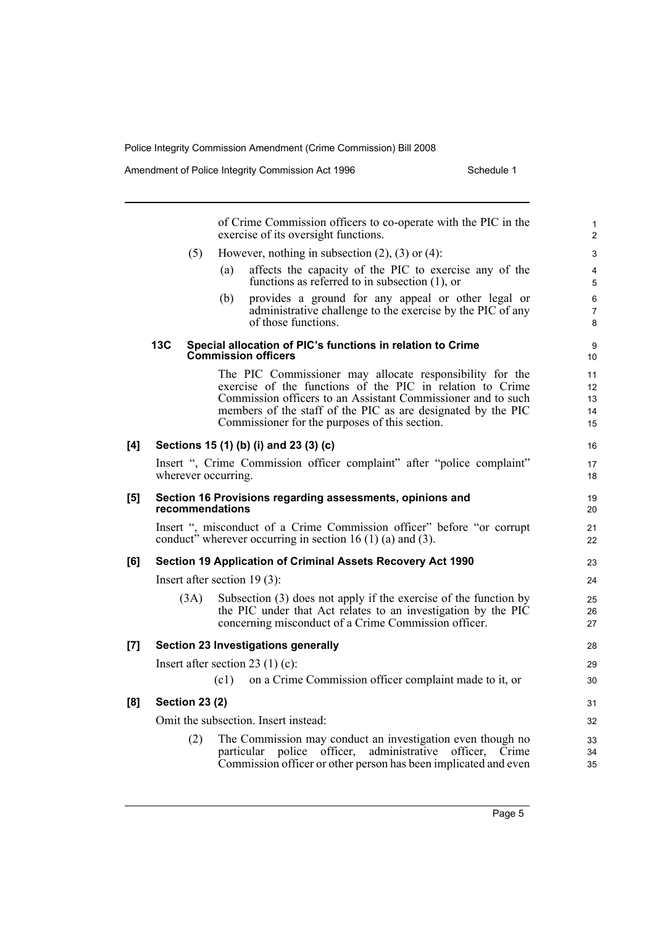Amendment of Police Integrity Commission Act 1996 Schedule 1

|     |                                                                                               | of Crime Commission officers to co-operate with the PIC in the<br>exercise of its oversight functions.                                                                                                                                                                                                  | $\mathbf{1}$<br>2          |
|-----|-----------------------------------------------------------------------------------------------|---------------------------------------------------------------------------------------------------------------------------------------------------------------------------------------------------------------------------------------------------------------------------------------------------------|----------------------------|
|     | (5)                                                                                           | However, nothing in subsection $(2)$ , $(3)$ or $(4)$ :                                                                                                                                                                                                                                                 | 3                          |
|     |                                                                                               | affects the capacity of the PIC to exercise any of the<br>(a)<br>functions as referred to in subsection $(1)$ , or                                                                                                                                                                                      | $\overline{4}$<br>5        |
|     |                                                                                               | provides a ground for any appeal or other legal or<br>(b)<br>administrative challenge to the exercise by the PIC of any<br>of those functions.                                                                                                                                                          | 6<br>$\overline{7}$<br>8   |
|     | 13C                                                                                           | Special allocation of PIC's functions in relation to Crime<br><b>Commission officers</b>                                                                                                                                                                                                                | 9<br>10                    |
|     |                                                                                               | The PIC Commissioner may allocate responsibility for the<br>exercise of the functions of the PIC in relation to Crime<br>Commission officers to an Assistant Commissioner and to such<br>members of the staff of the PIC as are designated by the PIC<br>Commissioner for the purposes of this section. | 11<br>12<br>13<br>14<br>15 |
| [4] |                                                                                               | Sections 15 (1) (b) (i) and 23 (3) (c)                                                                                                                                                                                                                                                                  | 16                         |
|     | Insert ", Crime Commission officer complaint" after "police complaint"<br>wherever occurring. |                                                                                                                                                                                                                                                                                                         |                            |
| [5] | Section 16 Provisions regarding assessments, opinions and<br>recommendations                  |                                                                                                                                                                                                                                                                                                         |                            |
|     |                                                                                               | Insert ", misconduct of a Crime Commission officer" before "or corrupt<br>conduct" wherever occurring in section 16 (1) (a) and (3).                                                                                                                                                                    | 21<br>22                   |
| [6] |                                                                                               | Section 19 Application of Criminal Assets Recovery Act 1990                                                                                                                                                                                                                                             | 23                         |
|     |                                                                                               | Insert after section $19(3)$ :                                                                                                                                                                                                                                                                          | 24                         |
|     | (3A)                                                                                          | Subsection $(3)$ does not apply if the exercise of the function by<br>the PIC under that Act relates to an investigation by the PIC<br>concerning misconduct of a Crime Commission officer.                                                                                                             | 25<br>26<br>27             |
| [7] |                                                                                               | <b>Section 23 Investigations generally</b>                                                                                                                                                                                                                                                              | 28                         |
|     |                                                                                               | Insert after section 23 (1) (c):                                                                                                                                                                                                                                                                        | 29                         |
|     |                                                                                               | on a Crime Commission officer complaint made to it, or<br>(c1)                                                                                                                                                                                                                                          | 30                         |
| [8] | <b>Section 23 (2)</b>                                                                         |                                                                                                                                                                                                                                                                                                         | 31                         |
|     |                                                                                               | Omit the subsection. Insert instead:                                                                                                                                                                                                                                                                    | 32                         |
|     | (2)                                                                                           | The Commission may conduct an investigation even though no<br>particular<br>police officer, administrative officer, Crime<br>Commission officer or other person has been implicated and even                                                                                                            | 33<br>34<br>35             |
|     |                                                                                               |                                                                                                                                                                                                                                                                                                         |                            |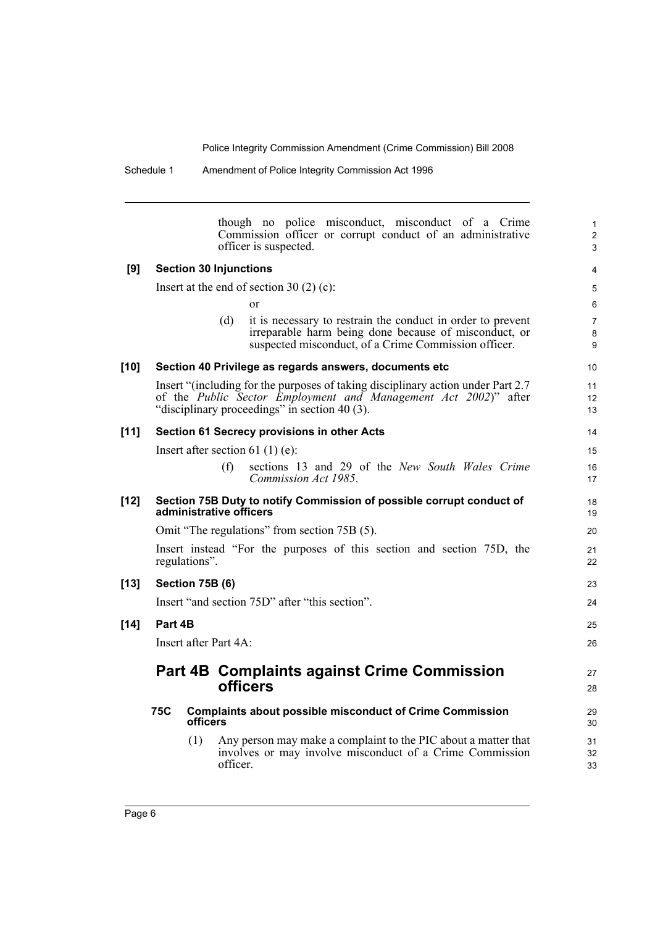|        |                 | though no police misconduct, misconduct of a Crime<br>Commission officer or corrupt conduct of an administrative<br>officer is suspected.                                                                     | $\mathbf{1}$<br>2<br>3   |
|--------|-----------------|---------------------------------------------------------------------------------------------------------------------------------------------------------------------------------------------------------------|--------------------------|
| [9]    |                 | <b>Section 30 Injunctions</b>                                                                                                                                                                                 | $\overline{4}$           |
|        |                 | Insert at the end of section 30 $(2)$ (c):                                                                                                                                                                    | 5                        |
|        |                 | <sub>or</sub>                                                                                                                                                                                                 | 6                        |
|        |                 | it is necessary to restrain the conduct in order to prevent<br>(d)<br>irreparable harm being done because of misconduct, or<br>suspected misconduct, of a Crime Commission officer.                           | $\overline{7}$<br>8<br>9 |
| $[10]$ |                 | Section 40 Privilege as regards answers, documents etc                                                                                                                                                        | 10                       |
|        |                 | Insert "(including for the purposes of taking disciplinary action under Part 2.7)<br>of the <i>Public Sector Employment and Management Act 2002</i> )" after<br>"disciplinary proceedings" in section 40 (3). | 11<br>12<br>13           |
| $[11]$ |                 | Section 61 Secrecy provisions in other Acts                                                                                                                                                                   | 14                       |
|        |                 | Insert after section 61 (1) (e):                                                                                                                                                                              | 15                       |
|        |                 | (f)<br>sections 13 and 29 of the New South Wales Crime<br>Commission Act 1985.                                                                                                                                | 16<br>17                 |
| $[12]$ |                 | Section 75B Duty to notify Commission of possible corrupt conduct of<br>administrative officers                                                                                                               | 18<br>19                 |
|        |                 | Omit "The regulations" from section 75B (5).                                                                                                                                                                  | 20                       |
|        |                 | Insert instead "For the purposes of this section and section 75D, the<br>regulations".                                                                                                                        | 21<br>22                 |
| $[13]$ | Section 75B (6) |                                                                                                                                                                                                               | 23                       |
|        |                 | Insert "and section 75D" after "this section".                                                                                                                                                                | 24                       |
| $[14]$ | Part 4B         |                                                                                                                                                                                                               | 25                       |
|        |                 | Insert after Part 4A:                                                                                                                                                                                         | 26                       |
|        |                 | <b>Part 4B Complaints against Crime Commission</b><br>officers                                                                                                                                                | 27<br>28                 |
|        | 75C             | <b>Complaints about possible misconduct of Crime Commission</b><br>officers                                                                                                                                   | 29<br>30                 |
|        |                 | (1)<br>Any person may make a complaint to the PIC about a matter that<br>involves or may involve misconduct of a Crime Commission<br>officer.                                                                 | 31<br>32<br>33           |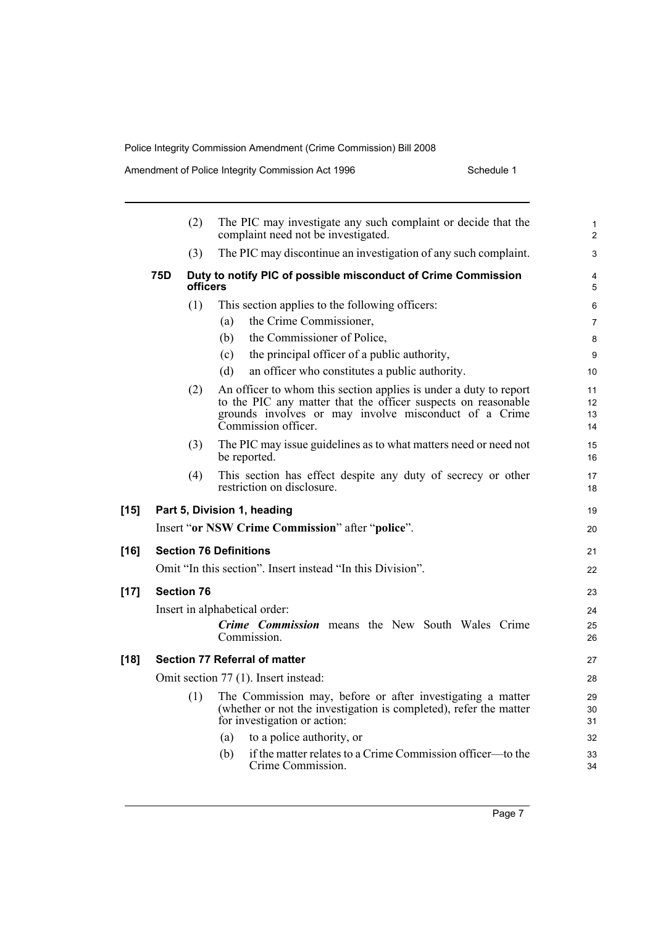Amendment of Police Integrity Commission Act 1996 Schedule 1

 $[15]$ 

 $[16]$ 

**[17] Section 76**

 $[18]$ 

|     | (2)<br>The PIC may investigate any such complaint or decide that the<br>complaint need not be investigated. |                                                                                                                                                                                                                    | $\mathbf{1}$<br>$\overline{2}$    |
|-----|-------------------------------------------------------------------------------------------------------------|--------------------------------------------------------------------------------------------------------------------------------------------------------------------------------------------------------------------|-----------------------------------|
|     | (3)                                                                                                         | The PIC may discontinue an investigation of any such complaint.                                                                                                                                                    | 3                                 |
| 75D | officers                                                                                                    | Duty to notify PIC of possible misconduct of Crime Commission                                                                                                                                                      | 4<br>5                            |
|     | (1)                                                                                                         | This section applies to the following officers:                                                                                                                                                                    | 6                                 |
|     |                                                                                                             | the Crime Commissioner,<br>(a)                                                                                                                                                                                     | 7                                 |
|     |                                                                                                             | the Commissioner of Police,<br>(b)                                                                                                                                                                                 | 8                                 |
|     |                                                                                                             | the principal officer of a public authority,<br>(c)                                                                                                                                                                | 9                                 |
|     |                                                                                                             | an officer who constitutes a public authority.<br>(d)                                                                                                                                                              | 10                                |
|     | (2)                                                                                                         | An officer to whom this section applies is under a duty to report<br>to the PIC any matter that the officer suspects on reasonable<br>grounds involves or may involve misconduct of a Crime<br>Commission officer. | 11<br>12 <sup>°</sup><br>13<br>14 |
|     | (3)                                                                                                         | The PIC may issue guidelines as to what matters need or need not<br>be reported.                                                                                                                                   | 15<br>16                          |
|     | (4)                                                                                                         | This section has effect despite any duty of secrecy or other<br>restriction on disclosure.                                                                                                                         | 17<br>18                          |
|     |                                                                                                             | Part 5, Division 1, heading                                                                                                                                                                                        | 19                                |
|     |                                                                                                             | Insert "or NSW Crime Commission" after "police".                                                                                                                                                                   | 20                                |
|     |                                                                                                             | <b>Section 76 Definitions</b>                                                                                                                                                                                      | 21                                |
|     |                                                                                                             | Omit "In this section". Insert instead "In this Division".                                                                                                                                                         | 22                                |
|     | <b>Section 76</b>                                                                                           |                                                                                                                                                                                                                    | 23                                |
|     |                                                                                                             | Insert in alphabetical order:                                                                                                                                                                                      | 24                                |
|     |                                                                                                             | <b>Crime Commission</b> means the New South Wales Crime                                                                                                                                                            | 25                                |
|     |                                                                                                             | Commission.                                                                                                                                                                                                        | 26                                |
|     |                                                                                                             | Section 77 Referral of matter                                                                                                                                                                                      | 27                                |
|     |                                                                                                             | Omit section 77 (1). Insert instead:                                                                                                                                                                               | 28                                |
|     | (1)                                                                                                         | The Commission may, before or after investigating a matter<br>(whether or not the investigation is completed), refer the matter<br>for investigation or action:                                                    | 29<br>30<br>31                    |
|     |                                                                                                             | to a police authority, or<br>(a)                                                                                                                                                                                   | 32                                |
|     |                                                                                                             | if the matter relates to a Crime Commission officer—to the<br>(b)<br>Crime Commission.                                                                                                                             | 33<br>34                          |
|     |                                                                                                             |                                                                                                                                                                                                                    |                                   |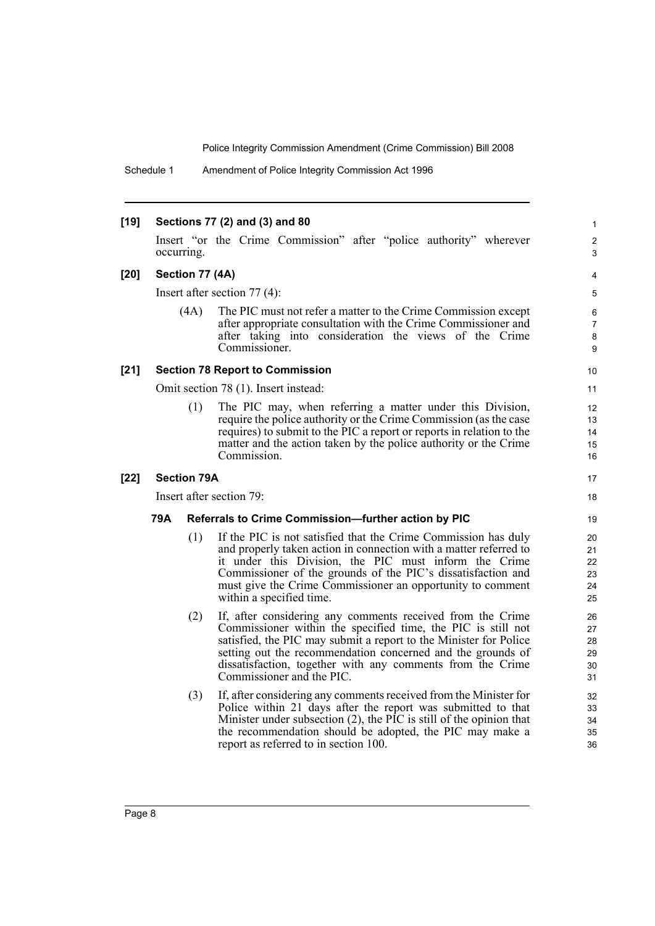Schedule 1 Amendment of Police Integrity Commission Act 1996

#### **[19] Sections 77 (2) and (3) and 80**

Insert "or the Crime Commission" after "police authority" wherever occurring.

#### **[20] Section 77 (4A)**

Insert after section 77 (4):

(4A) The PIC must not refer a matter to the Crime Commission except after appropriate consultation with the Crime Commissioner and after taking into consideration the views of the Crime Commissioner.

#### **[21] Section 78 Report to Commission**

Omit section 78 (1). Insert instead:

(1) The PIC may, when referring a matter under this Division, require the police authority or the Crime Commission (as the case requires) to submit to the PIC a report or reports in relation to the matter and the action taken by the police authority or the Crime Commission.

#### **[22] Section 79A**

Insert after section 79:

#### **79A Referrals to Crime Commission—further action by PIC**

- (1) If the PIC is not satisfied that the Crime Commission has duly and properly taken action in connection with a matter referred to it under this Division, the PIC must inform the Crime Commissioner of the grounds of the PIC's dissatisfaction and must give the Crime Commissioner an opportunity to comment within a specified time.
- (2) If, after considering any comments received from the Crime Commissioner within the specified time, the PIC is still not satisfied, the PIC may submit a report to the Minister for Police setting out the recommendation concerned and the grounds of dissatisfaction, together with any comments from the Crime Commissioner and the PIC.
- (3) If, after considering any comments received from the Minister for Police within 21 days after the report was submitted to that Minister under subsection  $(2)$ , the PIC is still of the opinion that the recommendation should be adopted, the PIC may make a report as referred to in section 100.

9 10

11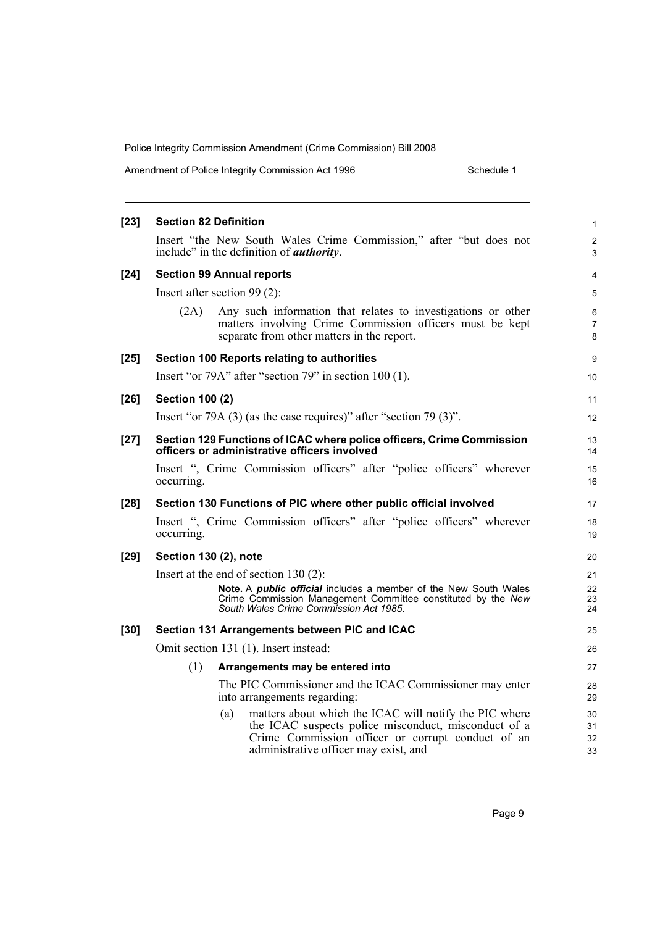| Amendment of Police Integrity Commission Act 1996 | Schedule 1 |
|---------------------------------------------------|------------|
|---------------------------------------------------|------------|

| $[23]$ | <b>Section 82 Definition</b>                                                                                                                                                                                        | $\mathbf{1}$         |  |
|--------|---------------------------------------------------------------------------------------------------------------------------------------------------------------------------------------------------------------------|----------------------|--|
|        | Insert "the New South Wales Crime Commission," after "but does not<br>include" in the definition of <i>authority</i> .                                                                                              | $\overline{2}$<br>3  |  |
| $[24]$ | <b>Section 99 Annual reports</b>                                                                                                                                                                                    | 4                    |  |
|        | Insert after section $99(2)$ :                                                                                                                                                                                      | 5                    |  |
|        | Any such information that relates to investigations or other<br>(2A)<br>matters involving Crime Commission officers must be kept<br>separate from other matters in the report.                                      | 6<br>7<br>8          |  |
| $[25]$ | Section 100 Reports relating to authorities                                                                                                                                                                         | 9                    |  |
|        | Insert "or 79A" after "section 79" in section 100 (1).                                                                                                                                                              | 10                   |  |
| $[26]$ | <b>Section 100 (2)</b>                                                                                                                                                                                              | 11                   |  |
|        | Insert "or 79A $(3)$ (as the case requires)" after "section 79 $(3)$ ".                                                                                                                                             | 12                   |  |
| $[27]$ | Section 129 Functions of ICAC where police officers, Crime Commission<br>officers or administrative officers involved                                                                                               | 13<br>14             |  |
|        | Insert ", Crime Commission officers" after "police officers" wherever<br>occurring.                                                                                                                                 | 15<br>16             |  |
| $[28]$ | Section 130 Functions of PIC where other public official involved                                                                                                                                                   | 17                   |  |
|        | Insert ", Crime Commission officers" after "police officers" wherever<br>occurring.                                                                                                                                 | 18<br>19             |  |
| $[29]$ | Section 130 (2), note                                                                                                                                                                                               | 20                   |  |
|        | Insert at the end of section $130(2)$ :                                                                                                                                                                             | 21                   |  |
|        | Note. A public official includes a member of the New South Wales<br>Crime Commission Management Committee constituted by the New<br>South Wales Crime Commission Act 1985.                                          | 22<br>23<br>24       |  |
| $[30]$ | Section 131 Arrangements between PIC and ICAC                                                                                                                                                                       | 25                   |  |
|        | Omit section 131 (1). Insert instead:                                                                                                                                                                               |                      |  |
|        | (1)<br>Arrangements may be entered into                                                                                                                                                                             | 27                   |  |
|        | The PIC Commissioner and the ICAC Commissioner may enter<br>into arrangements regarding:                                                                                                                            | 28<br>29             |  |
|        | matters about which the ICAC will notify the PIC where<br>(a)<br>the ICAC suspects police misconduct, misconduct of a<br>Crime Commission officer or corrupt conduct of an<br>administrative officer may exist, and | 30<br>31<br>32<br>33 |  |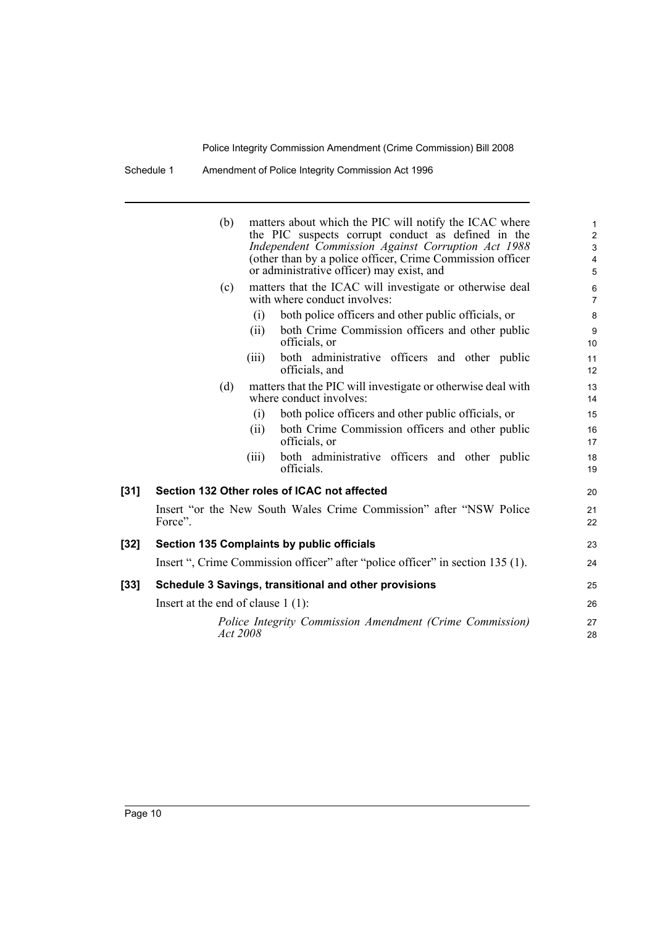Schedule 1 Amendment of Police Integrity Commission Act 1996

|      | matters about which the PIC will notify the ICAC where<br>(b)<br>the PIC suspects corrupt conduct as defined in the<br>Independent Commission Against Corruption Act 1988<br>(other than by a police officer, Crime Commission officer<br>or administrative officer) may exist, and |                                                                                | 1<br>$\overline{a}$<br>3<br>4<br>5 |
|------|-------------------------------------------------------------------------------------------------------------------------------------------------------------------------------------------------------------------------------------------------------------------------------------|--------------------------------------------------------------------------------|------------------------------------|
|      | (c)<br>with where conduct involves:                                                                                                                                                                                                                                                 | matters that the ICAC will investigate or otherwise deal                       | 6<br>$\overline{7}$                |
|      | (i)                                                                                                                                                                                                                                                                                 | both police officers and other public officials, or                            | 8                                  |
|      | (ii)<br>officials, or                                                                                                                                                                                                                                                               | both Crime Commission officers and other public                                | 9<br>10 <sup>°</sup>               |
|      | (iii)<br>officials, and                                                                                                                                                                                                                                                             | both administrative officers and other public                                  | 11<br>12                           |
|      | (d)<br>where conduct involves:                                                                                                                                                                                                                                                      | matters that the PIC will investigate or otherwise deal with                   | 13<br>14                           |
|      | (i)                                                                                                                                                                                                                                                                                 | both police officers and other public officials, or                            | 15                                 |
|      | (ii)<br>officials, or                                                                                                                                                                                                                                                               | both Crime Commission officers and other public                                | 16<br>17                           |
|      | (iii)<br>officials.                                                                                                                                                                                                                                                                 | both administrative officers and other public                                  | 18<br>19                           |
| [31] | Section 132 Other roles of ICAC not affected                                                                                                                                                                                                                                        |                                                                                | 20                                 |
|      | Force".                                                                                                                                                                                                                                                                             | Insert "or the New South Wales Crime Commission" after "NSW Police             | 21<br>22                           |
| [32] | Section 135 Complaints by public officials                                                                                                                                                                                                                                          |                                                                                | 23                                 |
|      |                                                                                                                                                                                                                                                                                     | Insert ", Crime Commission officer" after "police officer" in section 135 (1). | 24                                 |
| [33] | Schedule 3 Savings, transitional and other provisions                                                                                                                                                                                                                               |                                                                                | 25                                 |
|      | Insert at the end of clause $1(1)$ :                                                                                                                                                                                                                                                |                                                                                | 26                                 |
|      | Act 2008                                                                                                                                                                                                                                                                            | Police Integrity Commission Amendment (Crime Commission)                       | 27<br>28                           |
|      |                                                                                                                                                                                                                                                                                     |                                                                                |                                    |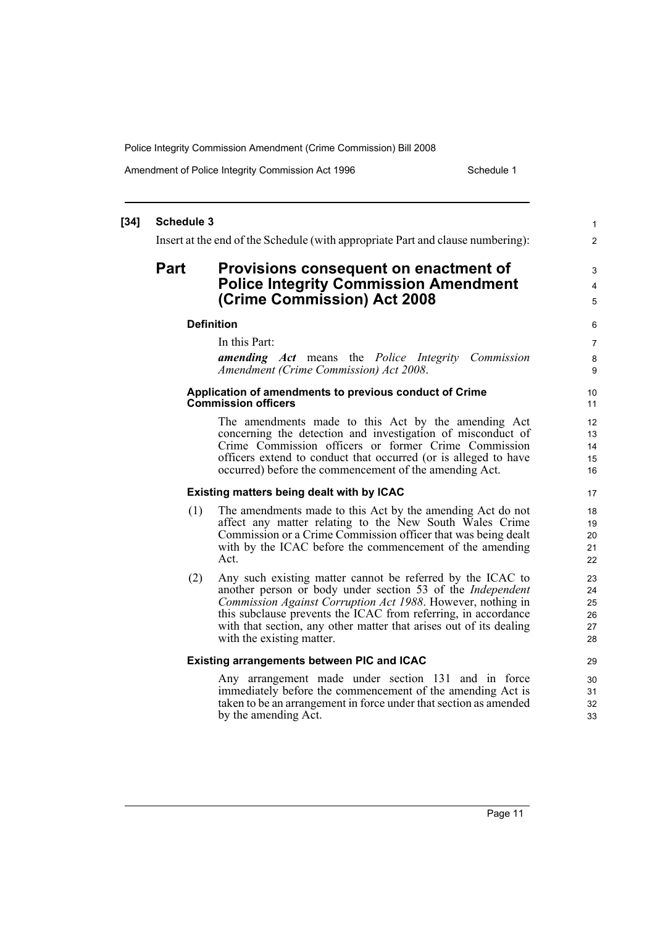Amendment of Police Integrity Commission Act 1996 Schedule 1

#### **[34] Schedule 3** Insert at the end of the Schedule (with appropriate Part and clause numbering): **Part Provisions consequent on enactment of Police Integrity Commission Amendment (Crime Commission) Act 2008 Definition** In this Part: *amending Act* means the *Police Integrity Commission Amendment (Crime Commission) Act 2008*. **Application of amendments to previous conduct of Crime Commission officers** The amendments made to this Act by the amending Act concerning the detection and investigation of misconduct of Crime Commission officers or former Crime Commission officers extend to conduct that occurred (or is alleged to have occurred) before the commencement of the amending Act. **Existing matters being dealt with by ICAC** (1) The amendments made to this Act by the amending Act do not affect any matter relating to the New South Wales Crime Commission or a Crime Commission officer that was being dealt with by the ICAC before the commencement of the amending Act. (2) Any such existing matter cannot be referred by the ICAC to another person or body under section 53 of the *Independent Commission Against Corruption Act 1988*. However, nothing in this subclause prevents the ICAC from referring, in accordance with that section, any other matter that arises out of its dealing with the existing matter. **Existing arrangements between PIC and ICAC** Any arrangement made under section 131 and in force immediately before the commencement of the amending Act is taken to be an arrangement in force under that section as amended by the amending Act. 1 2 3 4 5 6 7 8 **9** 10 11 12 13  $14$ 15 16 17 18 19  $20$ 21 22 23 24 25 26 27 28 29 30 31 32 33